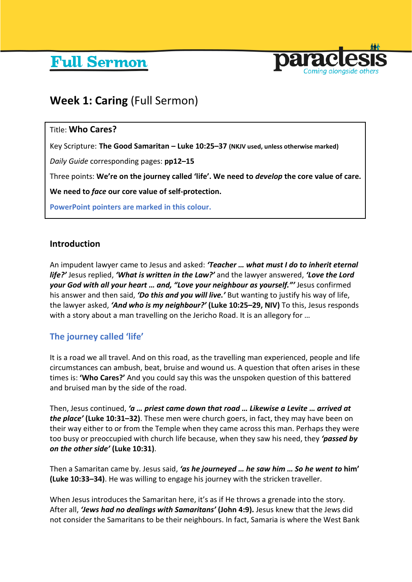# **Full Sermon**



## **Week 1: Caring** (Full Sermon)

## Title: **Who Cares?**

Key Scripture: **The Good Samaritan – Luke 10:25–37 (NKJV used, unless otherwise marked)**

*Daily Guide* corresponding pages: **pp12–15**

Three points: **We're on the journey called 'life'. We need to** *develop* **the core value of care.** 

**We need to** *face* **our core value of self-protection.** 

**PowerPoint pointers are marked in this colour.**

## **Introduction**

An impudent lawyer came to Jesus and asked: *'Teacher … what must I do to inherit eternal life?'* Jesus replied, *'What is written in the Law?'* and the lawyer answered, *'Love the Lord your God with all your heart … and, "Love your neighbour as yourself."'* Jesus confirmed his answer and then said, *'Do this and you will live.'* But wanting to justify his way of life, the lawyer asked, *'And who is my neighbour?'* **(Luke 10:25–29, NIV)** To this, Jesus responds with a story about a man travelling on the Jericho Road. It is an allegory for …

## **The journey called 'life'**

It is a road we all travel. And on this road, as the travelling man experienced, people and life circumstances can ambush, beat, bruise and wound us. A question that often arises in these times is: **'Who Cares?'** And you could say this was the unspoken question of this battered and bruised man by the side of the road.

Then, Jesus continued, *'a … priest came down that road … Likewise a Levite … arrived at the place'* **(Luke 10:31–32)**. These men were church goers, in fact, they may have been on their way either to or from the Temple when they came across this man. Perhaps they were too busy or preoccupied with church life because, when they saw his need, they *'passed by on the other side'* **(Luke 10:31)**.

Then a Samaritan came by. Jesus said, *'as he journeyed … he saw him … So he went to* **him' (Luke 10:33–34)**. He was willing to engage his journey with the stricken traveller.

When Jesus introduces the Samaritan here, it's as if He throws a grenade into the story. After all, *'Jews had no dealings with Samaritans'* **(John 4:9).** Jesus knew that the Jews did not consider the Samaritans to be their neighbours. In fact, Samaria is where the West Bank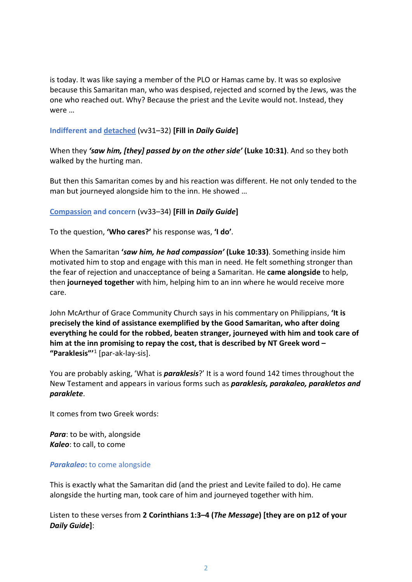is today. It was like saying a member of the PLO or Hamas came by. It was so explosive because this Samaritan man, who was despised, rejected and scorned by the Jews, was the one who reached out. Why? Because the priest and the Levite would not. Instead, they were …

#### **Indifferent and detached** (vv31–32) **[Fill in** *Daily Guide***]**

When they *'saw him, [they] passed by on the other side'* **(Luke 10:31)**. And so they both walked by the hurting man.

But then this Samaritan comes by and his reaction was different. He not only tended to the man but journeyed alongside him to the inn. He showed …

#### **Compassion and concern** (vv33–34) **[Fill in** *Daily Guide***]**

To the question, **'Who cares?'** his response was, **'I do'***.*

When the Samaritan **'***saw him, he had compassion'* **(Luke 10:33)**. Something inside him motivated him to stop and engage with this man in need. He felt something stronger than the fear of rejection and unacceptance of being a Samaritan. He **came alongside** to help, then **journeyed together** with him, helping him to an inn where he would receive more care.

John McArthur of Grace Community Church says in his commentary on Philippians, **'It is precisely the kind of assistance exemplified by the Good Samaritan, who after doing everything he could for the robbed, beaten stranger, journeyed with him and took care of him at the inn promising to repay the cost, that is described by NT Greek word – "Paraklesis"'** [1](#page-7-0) [par-ak-lay-sis].

You are probably asking, 'What is *paraklesis*?' It is a word found 142 times throughout the New Testament and appears in various forms such as *paraklesis, parakaleo, parakletos and paraklete*.

It comes from two Greek words:

*Para*: to be with, alongside *Kaleo*: to call, to come

#### *Parakaleo***:** to come alongside

This is exactly what the Samaritan did (and the priest and Levite failed to do). He came alongside the hurting man, took care of him and journeyed together with him.

Listen to these verses from **2 Corinthians 1:3–4 (***The Message***) [they are on p12 of your**  *Daily Guide***]**: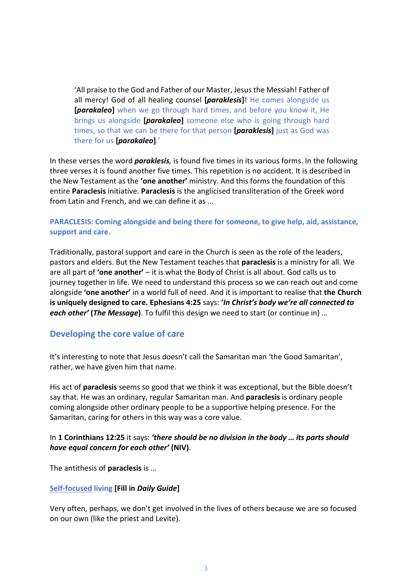'All praise to the God and Father of our Master, Jesus the Messiah! Father of all mercy! God of all healing counsel **[***paraklesis***]**! He comes alongside us **[***parakaleo***]** when we go through hard times, and before you know it, He brings us alongside **[***parakaleo***]** someone else who is going through hard times, so that we can be there for that person **[***paraklesis***]** just as God was there for us **[***parakaleo***]**.'

In these verses the word *paraklesis,* is found five times in its various forms. In the following three verses it is found another five times. This repetition is no accident. It is described in the New Testament as the **'one another'** ministry. And this forms the foundation of this entire **Paraclesis** initiative. **Paraclesis** is the anglicised transliteration of the Greek word from Latin and French, and we can define it as ...

#### **PARACLESIS: Coming alongside and being there for someone, to give help, aid, assistance, support and care.**

Traditionally, pastoral support and care in the Church is seen as the role of the leaders, pastors and elders. But the New Testament teaches that **paraclesis** is a ministry for all. We are all part of **'one another'** – it is what the Body of Christ is all about. God calls us to journey together in life. We need to understand this process so we can reach out and come alongside **'one another'** in a world full of need. And it is important to realise that **the Church is uniquely designed to care. Ephesians 4:25** says: **'***In Christ's body we're all connected to each other'* **(***The Message***)**. To fulfil this design we need to start (or continue in) …

## **Developing the core value of care**

It's interesting to note that Jesus doesn't call the Samaritan man 'the Good Samaritan', rather, we have given him that name.

His act of **paraclesis** seems so good that we think it was exceptional, but the Bible doesn't say that. He was an ordinary, regular Samaritan man. And **paraclesis** is ordinary people coming alongside other ordinary people to be a supportive helping presence. For the Samaritan, caring for others in this way was a core value.

#### In **1 Corinthians 12:25** it says: *'there should be no division in the body … its parts should have equal concern for each other'* **(NIV)**.

The antithesis of **paraclesis** is …

#### **Self-focused living [Fill in** *Daily Guide***]**

Very often, perhaps, we don't get involved in the lives of others because we are so focused on our own (like the priest and Levite).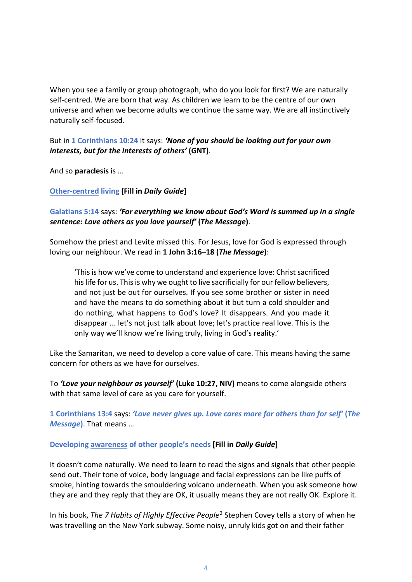When you see a family or group photograph, who do you look for first? We are naturally self-centred. We are born that way. As children we learn to be the centre of our own universe and when we become adults we continue the same way. We are all instinctively naturally self-focused.

### But in **1 Corinthians 10:24** it says: *'None of you should be looking out for your own interests, but for the interests of others'* **(GNT)**.

And so **paraclesis** is …

**Other-centred living [Fill in** *Daily Guide***]**

## **Galatians 5:14** says: *'For everything we know about God's Word is summed up in a single sentence: Love others as you love yourself'* **(***The Message***)**.

Somehow the priest and Levite missed this. For Jesus, love for God is expressed through loving our neighbour. We read in **1 John 3:16–18 (***The Message***)**:

'This is how we've come to understand and experience love: Christ sacrificed his life for us. This is why we ought to live sacrificially for our fellow believers, and not just be out for ourselves. If you see some brother or sister in need and have the means to do something about it but turn a cold shoulder and do nothing, what happens to God's love? It disappears. And you made it disappear ... let's not just talk about love; let's practice real love. This is the only way we'll know we're living truly, living in God's reality.'

Like the Samaritan, we need to develop a core value of care. This means having the same concern for others as we have for ourselves.

To *'Love your neighbour as yourself'* **(Luke 10:27, NIV)** means to come alongside others with that same level of care as you care for yourself.

**1 Corinthians 13:4** says: *'Love never gives up. Love cares more for others than for self'* **(***The Message***)**. That means …

## **Developing awareness of other people's needs [Fill in** *Daily Guide***]**

It doesn't come naturally. We need to learn to read the signs and signals that other people send out. Their tone of voice, body language and facial expressions can be like puffs of smoke, hinting towards the smouldering volcano underneath. When you ask someone how they are and they reply that they are OK, it usually means they are not really OK. Explore it.

In his book, *The 7 Habits of Highly Effective People*[2](#page-7-1) Stephen Covey tells a story of when he was travelling on the New York subway. Some noisy, unruly kids got on and their father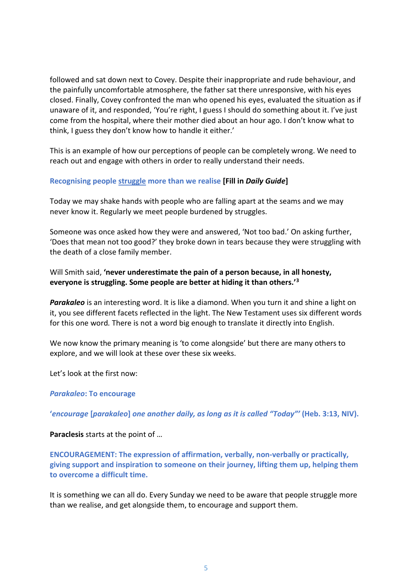followed and sat down next to Covey. Despite their inappropriate and rude behaviour, and the painfully uncomfortable atmosphere, the father sat there unresponsive, with his eyes closed. Finally, Covey confronted the man who opened his eyes, evaluated the situation as if unaware of it, and responded, 'You're right, I guess I should do something about it. I've just come from the hospital, where their mother died about an hour ago. I don't know what to think, I guess they don't know how to handle it either.'

This is an example of how our perceptions of people can be completely wrong. We need to reach out and engage with others in order to really understand their needs.

#### **Recognising people struggle more than we realise [Fill in** *Daily Guide***]**

Today we may shake hands with people who are falling apart at the seams and we may never know it. Regularly we meet people burdened by struggles.

Someone was once asked how they were and answered, 'Not too bad.' On asking further, 'Does that mean not too good?' they broke down in tears because they were struggling with the death of a close family member.

Will Smith said, **'never underestimate the pain of a person because, in all honesty, everyone is struggling. Some people are better at hiding it than others.'[3](#page-7-2)**

*Parakaleo* is an interesting word. It is like a diamond. When you turn it and shine a light on it, you see different facets reflected in the light. The New Testament uses six different words for this one word*.* There is not a word big enough to translate it directly into English.

We now know the primary meaning is 'to come alongside' but there are many others to explore, and we will look at these over these six weeks.

Let's look at the first now:

*Parakaleo***: To encourage**

**'***encourage* **[***parakaleo***]** *one another daily, as long as it is called "Today"'* **(Heb. 3:13, NIV).**

**Paraclesis** starts at the point of …

**ENCOURAGEMENT: The expression of affirmation, verbally, non-verbally or practically, giving support and inspiration to someone on their journey, lifting them up, helping them to overcome a difficult time.** 

It is something we can all do. Every Sunday we need to be aware that people struggle more than we realise, and get alongside them, to encourage and support them.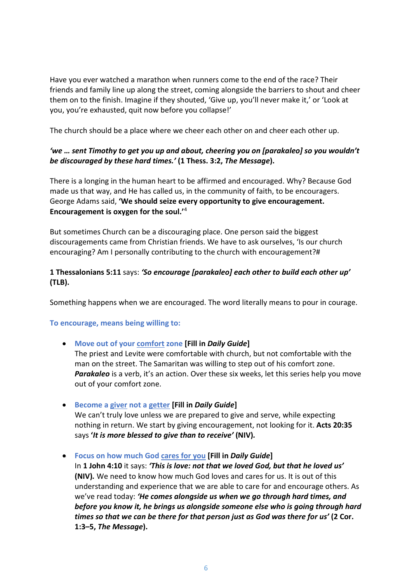Have you ever watched a marathon when runners come to the end of the race? Their friends and family line up along the street, coming alongside the barriers to shout and cheer them on to the finish. Imagine if they shouted, 'Give up, you'll never make it,' or 'Look at you, you're exhausted, quit now before you collapse!'

The church should be a place where we cheer each other on and cheer each other up.

## *'we … sent Timothy to get you up and about, cheering you on [parakaleo] so you wouldn't be discouraged by these hard times.'* **(1 Thess. 3:2,** *The Message***).**

There is a longing in the human heart to be affirmed and encouraged. Why? Because God made us that way, and He has called us, in the community of faith, to be encouragers. George Adams said, **'We should seize every opportunity to give encouragement. Encouragement is oxygen for the soul.'**[4](#page-7-3)

But sometimes Church can be a discouraging place. One person said the biggest discouragements came from Christian friends. We have to ask ourselves, 'Is our church encouraging? Am I personally contributing to the church with encouragement?#

## **1 Thessalonians 5:11** says: *'So encourage [parakaleo] each other to build each other up'* **(TLB).**

Something happens when we are encouraged. The word literally means to pour in courage.

## **To encourage, means being willing to:**

#### • **Move out of your comfort zone [Fill in** *Daily Guide***]**

The priest and Levite were comfortable with church, but not comfortable with the man on the street. The Samaritan was willing to step out of his comfort zone. **Parakaleo** is a verb, it's an action. Over these six weeks, let this series help you move out of your comfort zone.

• **Become a giver not a getter [Fill in** *Daily Guide***]**

We can't truly love unless we are prepared to give and serve, while expecting nothing in return. We start by giving encouragement, not looking for it. **Acts 20:35**  says **'***It is more blessed to give than to receive'* **(NIV)***.*

• **Focus on how much God cares for you [Fill in** *Daily Guide***]**

In **1 John 4:10** it says: *'This is love: not that we loved God, but that he loved us'*  **(NIV)***.* We need to know how much God loves and cares for us. It is out of this understanding and experience that we are able to care for and encourage others. As we've read today: *'He comes alongside us when we go through hard times, and before you know it, he brings us alongside someone else who is going through hard times so that we can be there for that person just as God was there for us'* **(2 Cor. 1:3–5,** *The Message***).**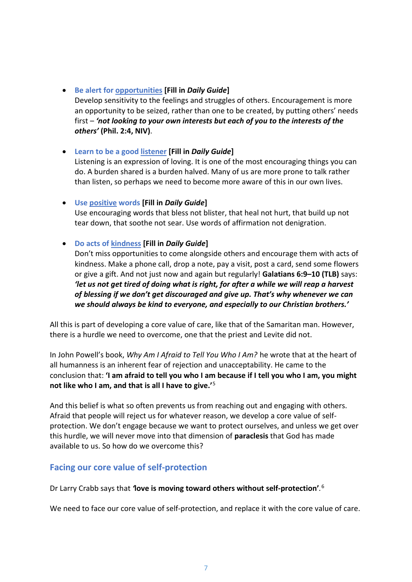- **Be alert for opportunities [Fill in** *Daily Guide***]** Develop sensitivity to the feelings and struggles of others. Encouragement is more an opportunity to be seized, rather than one to be created, by putting others' needs first – *'not looking to your own interests but each of you to the interests of the others'* **(Phil. 2:4, NIV)**.
- **Learn to be a good listener [Fill in** *Daily Guide***]** Listening is an expression of loving. It is one of the most encouraging things you can do. A burden shared is a burden halved. Many of us are more prone to talk rather than listen, so perhaps we need to become more aware of this in our own lives.
- **Use positive words [Fill in** *Daily Guide***]** Use encouraging words that bless not blister, that heal not hurt, that build up not tear down, that soothe not sear. Use words of affirmation not denigration.
- **Do acts of kindness [Fill in** *Daily Guide***]**

Don't miss opportunities to come alongside others and encourage them with acts of kindness. Make a phone call, drop a note, pay a visit, post a card, send some flowers or give a gift. And not just now and again but regularly! **Galatians 6:9–10 (TLB)** says: *'let us not get tired of doing what is right, for after a while we will reap a harvest of blessing if we don't get discouraged and give up. That's why whenever we can we should always be kind to everyone, and especially to our Christian brothers.'* 

All this is part of developing a core value of care, like that of the Samaritan man. However, there is a hurdle we need to overcome, one that the priest and Levite did not.

In John Powell's book, *Why Am I Afraid to Tell You Who I Am?* he wrote that at the heart of all humanness is an inherent fear of rejection and unacceptability. He came to the conclusion that: **'I am afraid to tell you who I am because if I tell you who I am, you might not like who I am, and that is all I have to give.'**[5](#page-7-4)

And this belief is what so often prevents us from reaching out and engaging with others. Afraid that people will reject us for whatever reason, we develop a core value of selfprotection. We don't engage because we want to protect ourselves, and unless we get over this hurdle, we will never move into that dimension of **paraclesis** that God has made available to us. So how do we overcome this?

## **Facing our core value of self-protection**

Dr Larry Crabb says that *'***love is moving toward others without self-protection'***.* [6](#page-7-5)

We need to face our core value of self-protection, and replace it with the core value of care.